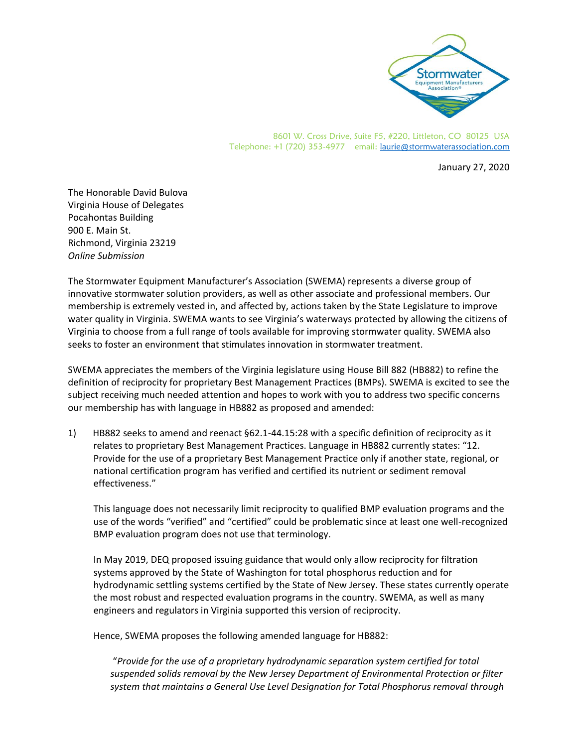

8601 W. Cross Drive, Suite F5, #220, Littleton, CO 80125 USA Telephone: +1 (720) 353-4977 email: [laurie@stormwaterassociation.com](mailto:laurie@stormwaterassociation.com)

January 27, 2020

The Honorable David Bulova Virginia House of Delegates Pocahontas Building 900 E. Main St. Richmond, Virginia 23219 *Online Submission* 

The Stormwater Equipment Manufacturer's Association (SWEMA) represents a diverse group of innovative stormwater solution providers, as well as other associate and professional members. Our membership is extremely vested in, and affected by, actions taken by the State Legislature to improve water quality in Virginia. SWEMA wants to see Virginia's waterways protected by allowing the citizens of Virginia to choose from a full range of tools available for improving stormwater quality. SWEMA also seeks to foster an environment that stimulates innovation in stormwater treatment.

SWEMA appreciates the members of the Virginia legislature using House Bill 882 (HB882) to refine the definition of reciprocity for proprietary Best Management Practices (BMPs). SWEMA is excited to see the subject receiving much needed attention and hopes to work with you to address two specific concerns our membership has with language in HB882 as proposed and amended:

1) HB882 seeks to amend and reenact §62.1-44.15:28 with a specific definition of reciprocity as it relates to proprietary Best Management Practices. Language in HB882 currently states: "12. Provide for the use of a proprietary Best Management Practice only if another state, regional, or national certification program has verified and certified its nutrient or sediment removal effectiveness."

This language does not necessarily limit reciprocity to qualified BMP evaluation programs and the use of the words "verified" and "certified" could be problematic since at least one well-recognized BMP evaluation program does not use that terminology.

In May 2019, DEQ proposed issuing guidance that would only allow reciprocity for filtration systems approved by the State of Washington for total phosphorus reduction and for hydrodynamic settling systems certified by the State of New Jersey. These states currently operate the most robust and respected evaluation programs in the country. SWEMA, as well as many engineers and regulators in Virginia supported this version of reciprocity.

Hence, SWEMA proposes the following amended language for HB882:

"*Provide for the use of a proprietary hydrodynamic separation system certified for total suspended solids removal by the New Jersey Department of Environmental Protection or filter system that maintains a General Use Level Designation for Total Phosphorus removal through*